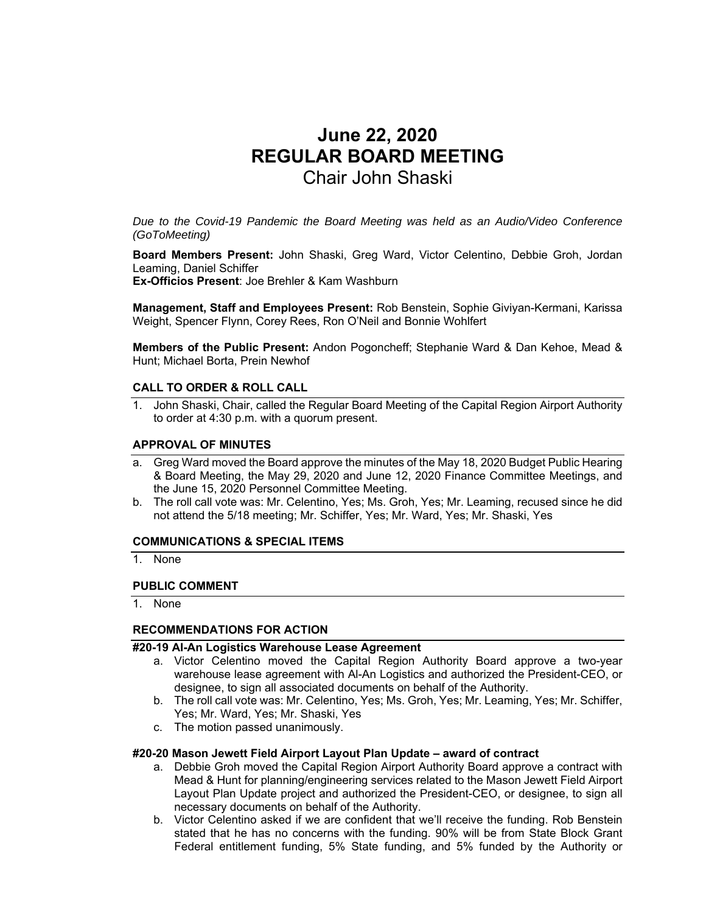# **June 22, 2020 REGULAR BOARD MEETING**  Chair John Shaski

*Due to the Covid-19 Pandemic the Board Meeting was held as an Audio/Video Conference (GoToMeeting)* 

**Board Members Present:** John Shaski, Greg Ward, Victor Celentino, Debbie Groh, Jordan Leaming, Daniel Schiffer **Ex-Officios Present**: Joe Brehler & Kam Washburn

**Management, Staff and Employees Present:** Rob Benstein, Sophie Giviyan-Kermani, Karissa Weight, Spencer Flynn, Corey Rees, Ron O'Neil and Bonnie Wohlfert

**Members of the Public Present:** Andon Pogoncheff; Stephanie Ward & Dan Kehoe, Mead & Hunt; Michael Borta, Prein Newhof

#### **CALL TO ORDER & ROLL CALL**

1. John Shaski, Chair, called the Regular Board Meeting of the Capital Region Airport Authority to order at 4:30 p.m. with a quorum present.

#### **APPROVAL OF MINUTES**

- a. Greg Ward moved the Board approve the minutes of the May 18, 2020 Budget Public Hearing & Board Meeting, the May 29, 2020 and June 12, 2020 Finance Committee Meetings, and the June 15, 2020 Personnel Committee Meeting.
- b. The roll call vote was: Mr. Celentino, Yes; Ms. Groh, Yes; Mr. Leaming, recused since he did not attend the 5/18 meeting; Mr. Schiffer, Yes; Mr. Ward, Yes; Mr. Shaski, Yes

#### **COMMUNICATIONS & SPECIAL ITEMS**

1. None

#### **PUBLIC COMMENT**

1. None

#### **RECOMMENDATIONS FOR ACTION**

# **#20-19 Al-An Logistics Warehouse Lease Agreement**

- a. Victor Celentino moved the Capital Region Authority Board approve a two-year warehouse lease agreement with Al-An Logistics and authorized the President-CEO, or designee, to sign all associated documents on behalf of the Authority.
- b. The roll call vote was: Mr. Celentino, Yes; Ms. Groh, Yes; Mr. Leaming, Yes; Mr. Schiffer, Yes; Mr. Ward, Yes; Mr. Shaski, Yes
- c. The motion passed unanimously.

#### **#20-20 Mason Jewett Field Airport Layout Plan Update – award of contract**

- a. Debbie Groh moved the Capital Region Airport Authority Board approve a contract with Mead & Hunt for planning/engineering services related to the Mason Jewett Field Airport Layout Plan Update project and authorized the President-CEO, or designee, to sign all necessary documents on behalf of the Authority.
- b. Victor Celentino asked if we are confident that we'll receive the funding. Rob Benstein stated that he has no concerns with the funding. 90% will be from State Block Grant Federal entitlement funding, 5% State funding, and 5% funded by the Authority or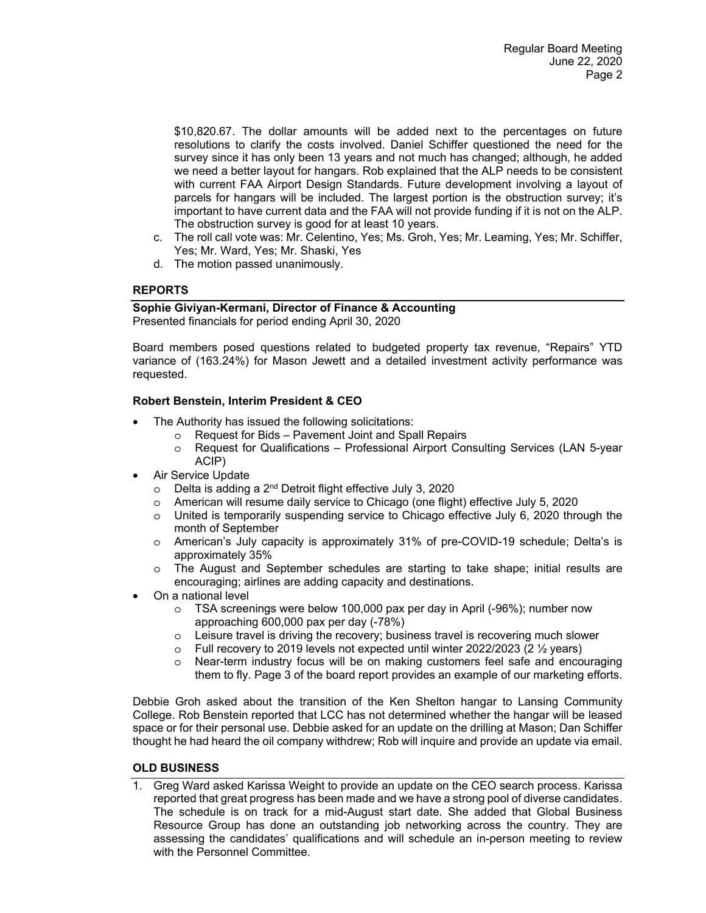\$10,820.67. The dollar amounts will be added next to the percentages on future resolutions to clarify the costs involved. Daniel Schiffer questioned the need for the survey since it has only been 13 years and not much has changed; although, he added we need a better layout for hangars. Rob explained that the ALP needs to be consistent with current FAA Airport Design Standards. Future development involving a layout of parcels for hangars will be included. The largest portion is the obstruction survey; it's important to have current data and the FAA will not provide funding if it is not on the ALP. The obstruction survey is good for at least 10 years.

- c. The roll call vote was: Mr. Celentino, Yes; Ms. Groh, Yes; Mr. Leaming, Yes; Mr. Schiffer, Yes; Mr. Ward, Yes; Mr. Shaski, Yes
- d. The motion passed unanimously.

# **REPORTS**

# **Sophie Giviyan-Kermani, Director of Finance & Accounting**

Presented financials for period ending April 30, 2020

Board members posed questions related to budgeted property tax revenue, "Repairs" YTD variance of (163.24%) for Mason Jewett and a detailed investment activity performance was requested.

# **Robert Benstein, Interim President & CEO**

- The Authority has issued the following solicitations:
	- o Request for Bids Pavement Joint and Spall Repairs
	- o Request for Qualifications Professional Airport Consulting Services (LAN 5-year ACIP)
- Air Service Update
	- o Delta is adding a 2nd Detroit flight effective July 3, 2020
	- o American will resume daily service to Chicago (one flight) effective July 5, 2020
	- o United is temporarily suspending service to Chicago effective July 6, 2020 through the month of September
	- o American's July capacity is approximately 31% of pre-COVID-19 schedule; Delta's is approximately 35%
	- o The August and September schedules are starting to take shape; initial results are encouraging; airlines are adding capacity and destinations.
- On a national level
	- o TSA screenings were below 100,000 pax per day in April (-96%); number now approaching 600,000 pax per day (-78%)
	- $\circ$  Leisure travel is driving the recovery; business travel is recovering much slower
	- $\circ$  Full recovery to 2019 levels not expected until winter 2022/2023 (2  $\frac{1}{2}$  years)
	- o Near-term industry focus will be on making customers feel safe and encouraging them to fly. Page 3 of the board report provides an example of our marketing efforts.

Debbie Groh asked about the transition of the Ken Shelton hangar to Lansing Community College. Rob Benstein reported that LCC has not determined whether the hangar will be leased space or for their personal use. Debbie asked for an update on the drilling at Mason; Dan Schiffer thought he had heard the oil company withdrew; Rob will inquire and provide an update via email.

## **OLD BUSINESS**

1. Greg Ward asked Karissa Weight to provide an update on the CEO search process. Karissa reported that great progress has been made and we have a strong pool of diverse candidates. The schedule is on track for a mid-August start date. She added that Global Business Resource Group has done an outstanding job networking across the country. They are assessing the candidates' qualifications and will schedule an in-person meeting to review with the Personnel Committee.